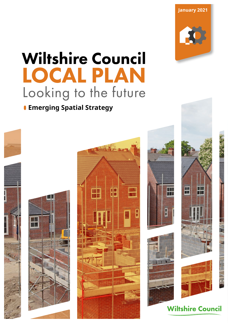**January 2021**

# **Wiltshire Council LOCAL PLAN** Looking to the future

# **Emerging Spatial Strategy**

















**Wiltshire Council**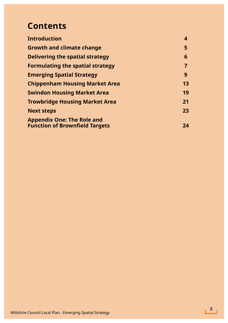# **Contents**

| <b>Introduction</b>                     | 4  |
|-----------------------------------------|----|
| <b>Growth and climate change</b>        | 5  |
| <b>Delivering the spatial strategy</b>  | 6  |
| <b>Formulating the spatial strategy</b> |    |
| <b>Emerging Spatial Strategy</b>        | 9  |
| <b>Chippenham Housing Market Area</b>   | 13 |
| <b>Swindon Housing Market Area</b>      | 19 |
| <b>Trowbridge Housing Market Area</b>   | 21 |
| <b>Next steps</b>                       | 23 |
| <b>Appendix One: The Role and</b>       |    |
| <b>Function of Brownfield Targets</b>   | 24 |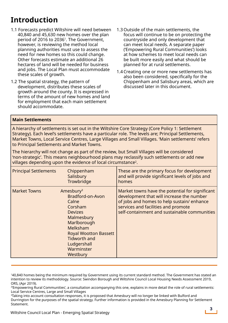# **Introduction**

- 1.1 Forecasts predict Wiltshire will need between 40,840 and 45,630 new homes over the plan period of 2016 to 20361. The Government, however, is reviewing the method local planning authorities must use to assess the need for new homes so this could change. Other forecasts estimate an additional 26 hectares of land will be needed for business and jobs. The Local Plan must accommodate these scales of growth.
- 1.2 The spatial strategy, the pattern of development, distributes these scales of growth around the county. It is expressed in terms of the amount of new homes and land for employment that each main settlement should accommodate.
- 1.3Outside of the main settlements, the focus will continue to be on protecting the countryside and only development that can meet local needs. A separate paper ('Empowering Rural Communities') looks at how schemes to meet local needs can be built more easily and what should be planned for at rural settlements.
- 1.4Creating one or more new settlements has also been considered, specifically for the Chippenham and Salisbury areas, which are discussed later in this document.

#### **Main Settlements**

A hierarchy of settlements is set out in the Wiltshire Core Strategy (Core Policy 1: Settlement Strategy). Each level's settlements have a particular role. The levels are; Principal Settlements, Market Towns, Local Service Centres, Large Villages and Small Villages. 'Main settlements' refers to Principal Settlements and Market Towns.

The hierarchy will not change as part of the review, but Small Villages will be considered 'non-strategic'. This means neighbourhood plans may reclassify such settlements or add new villages depending upon the evidence of local circumstance2.

| <b>Principal Settlements</b> | Chippenham<br>Salisbury<br>Trowbridge                                                                                                                                                                                    | These are the primary focus for development<br>and will provide significant levels of jobs and<br>homes                                                                                                                           |
|------------------------------|--------------------------------------------------------------------------------------------------------------------------------------------------------------------------------------------------------------------------|-----------------------------------------------------------------------------------------------------------------------------------------------------------------------------------------------------------------------------------|
| <b>Market Towns</b>          | Amesbury <sup>3</sup><br>Bradford-on-Avon<br>Calne<br>Corsham<br><b>Devizes</b><br>Malmesbury<br>Marlborough<br>Melksham<br><b>Royal Wootton Bassett</b><br><b>Tidworth and</b><br>Ludgershall<br>Warminster<br>Westbury | Market towns have the potential for significant<br>development that will increase the number<br>of jobs and homes to help sustain/ enhance<br>services and facilities and promote<br>self-containment and sustainable communities |

<sup>140,840</sup> homes being the minimum required by Government using its current standard method. The Government has stated an intention to review its methodology. Source: Swindon Borough and Wiltshire Council Local Housing Needs Assessment 2019, ORS, (Apr 2019).

<sup>2&#</sup>x27;Empowering Rural Communities', a consultation accompanying this one, explains in more detail the role of rural settlements: Local Service Centres, Large and Small Villages

<sup>&</sup>lt;sup>3</sup>Taking into account consultation responses, it is proposed that Amesbury will no longer be linked with Bulford and Durrington for the purposes of the spatial strategy. Further information is provided in the Amesbury Planning for Settlement Statement.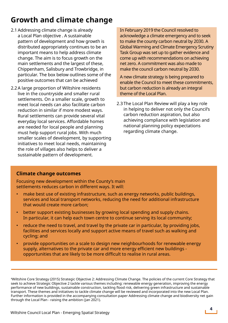# **Growth and climate change**

- 2.1 Addressing climate change is already a Local Plan objective . A sustainable pattern of development and how growth is distributed appropriately continues to be an important means to help address climate change. The aim is to focus growth on the main settlements and the largest of these, Chippenham, Salisbury and Trowbridge, in particular. The box below outlines some of the positive outcomes that can be achieved
- 2.2A large proportion of Wiltshire residents live in the countryside and smaller rural settlements. On a smaller scale, growth to meet local needs can also facilitate carbon reduction in similar if more modest ways. Rural settlements can provide several vital everyday local services. Affordable homes are needed for local people and planning must help support rural jobs. With much smaller scales of development, by supporting initiatives to meet local needs, maintaining the role of villages also helps to deliver a sustainable pattern of development.

In February 2019 the Council resolved to acknowledge a climate emergency and to seek to make the county carbon neutral by 2030. A Global Warming and Climate Emergency Scrutiny Task Group was set up to gather evidence and come up with recommendations on achieving net zero. A commitment was also made to make the council carbon neutral by 2030.

A new climate strategy is being prepared to enable the Council to meet these commitments, but carbon reduction is already an integral theme of the Local Plan.

2.3 The Local Plan Review will play a key role in helping to deliver not only the Council's carbon reduction aspiration, but also achieving compliance with legislation and national planning policy expectations regarding climate change.

#### **Climate change outcomes**

Focusing new development within the County's main settlements reduces carbon in different ways. It will:

- make best use of existing infrastructure, such as energy networks, public buildings, services and local transport networks, reducing the need for additional infrastructure that would create more carbon;
- better support existing businesses by growing local spending and supply chains. In particular, it can help each town centre to continue serving its local community;
- reduce the need to travel, and travel by the private car in particular, by providing jobs, facilities and services locally and support active means of travel such as walking and cycling; and
- provide opportunities on a scale to design new neighbourhoods for renewable energy supply, alternatives to the private car and more energy efficient new buildings opportunities that are likely to be more difficult to realise in rural areas.

4Wiltshire Core Strategy (2015) Strategic Objective 2: Addressing Climate Change. The policies of the current Core Strategy that seek to achieve Strategic Objective 2 tackle various themes including: renewable energy generation, improving the energy performance of new buildings, sustainable construction, tackling flood risk, delivering green infrastructure and sustainable transport. These themes and initiatives to tackle climate change will be reviewed and incorporated into the new Local Plan. Further information is provided in the accompanying consultation paper Addressing climate change and biodiversity net gain through the Local Plan - raising the ambition (Jan 2021).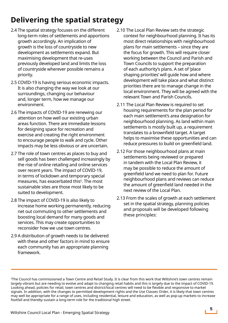# **Delivering the spatial strategy**

- 2.4 The spatial strategy focuses on the different long-term roles of settlements and apportions growth accordingly. An implication of growth is the loss of countryside to new development as settlements expand. But maximising development that re-uses previously developed land and limits the loss of countryside wherever possible remains a priority.
- 2.5 COVID-19 is having serious economic impacts. It is also changing the way we look at our surroundings, changing our behaviour and, longer term, how we manage our environment.
- 2.6 The impacts of COVID-19 are renewing our attention on how well our existing urban areas function. There are immediate lessons for designing space for recreation and exercise and creating the right environment to encourage people to walk and cycle. Other impacts may be less obvious or are uncertain.
- 2.7 The role of town centres as places to buy and sell goods has been challenged increasingly by the rise of online retailing and online services over recent years. The impact of COVID-19, in terms of lockdown and temporary special measures, has exacerbated this<sup>5</sup>. The most sustainable sites are those most likely to be suited to development.
- 2.8 The impact of COVID-19 is also likely to increase home working permanently, reducing net out commuting to other settlements and boosting local demand for many goods and services. This may create opportunities to reconsider how we use town centres.
- 2.9 A distribution of growth needs to be delivered with these and other factors in mind to ensure each community has an appropriate planning framework.
- 2.10 The Local Plan Review sets the strategic context for neighbourhood planning. It has its most direct relationships with neighbourhood plans for main settlements – since they are the focus for growth. This will require closer working between the Council and Parish and Town Councils to support the preparation of each authority's plans. A set of 'place shaping priorities' will guide how and where development will take place and what distinct priorities there are to manage change in the local environment. They will be agreed with the relevant Town and Parish Councils.
- 2.11 The Local Plan Review is required to set housing requirements for the plan period for each main settlement's area designation for neighbourhood planning. As land within main settlements is mostly built up, a requirement translates to a brownfield target. A target helps to maximise these opportunities and can reduce pressures to build on greenfield land.
- 2.12 For those neighbourhood plans at main settlements being reviewed or prepared in tandem with the Local Plan Review, it may be possible to reduce the amount of greenfield land we need to plan for. Future neighbourhood plans and reviews can reduce the amount of greenfield land needed in the next review of the Local Plan.
- 2.13 From the scales of growth at each settlement set in the spatial strategy, planning policies and proposals will be developed following these principles:

<sup>5</sup>The Council has commissioned a Town Centre and Retail Study. It is clear from this work that Wiltshire's town centres remain largely vibrant but are needing to evolve and adapt to changing retail habits and this is largely due to the impact of COVID-19. Looking ahead, policies for retail, town centres and district/local centres will need to be flexible and responsive to market signals. In addition, with the changes to permitted development rights and the Use Classes Order, it is likely that town centres may well be appropriate for a range of uses, including residential, leisure and education, as well as pop-up markets to increase footfall and thereby sustain a long-term role for the traditional high street.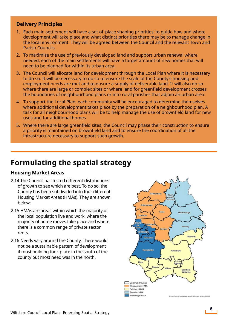#### **Delivery Principles**

- 1. Each main settlement will have a set of 'place shaping priorities' to guide how and where development will take place and what distinct priorities there may be to manage change in the local environment. They will be agreed between the Council and the relevant Town and Parish Councils.
- 2. To maximise the use of previously developed land and support urban renewal where needed, each of the main settlements will have a target amount of new homes that will need to be planned for within its urban area.
- 3. The Council will allocate land for development through the Local Plan where it is necessary to do so. It will be necessary to do so to ensure the scale of the County's housing and employment needs are met and to ensure a supply of deliverable land. It will also do so where there are large or complex sites or where land for greenfield development crosses the boundaries of neighbourhood plans or into rural parishes that adjoin an urban area.
- 4. To support the Local Plan, each community will be encouraged to determine themselves where additional development takes place by the preparation of a neighbourhood plan. A task for all neighbourhood plans will be to help manage the use of brownfield land for new uses and for additional homes
- 5. Where there are large greenfield sites, the Council may phase their construction to ensure a priority is maintained on brownfield land and to ensure the coordination of all the infrastructure necessary to support such growth.

# **Formulating the spatial strategy**

#### **Housing Market Areas**

- 2.14 The Council has tested different distributions of growth to see which are best. To do so, the County has been subdivided into four different Housing Market Areas (HMAs). They are shown below:
- 2.15 HMAs are areas within which the majority of the local population live and work, where the majority of home moves take place and where there is a common range of private sector rents.
- 2.16 Needs vary around the County. There would not be a sustainable pattern of development if most building took place in the south of the county but most need was in the north.

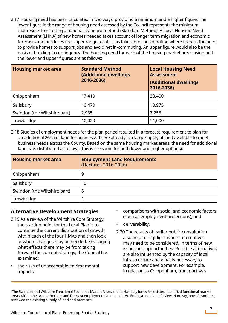2.17 Housing need has been calculated in two ways, providing a minimum and a higher figure. The lower figure in the range of housing need assessed by the Council represents the minimum that results from using a national standard method (Standard Method). A Local Housing Need Assessment (LHNA) of new homes needed takes account of longer term migration and economic forecasts and produces the upper range result. This takes into consideration where there is the need to provide homes to support jobs and avoid net in-commuting. An upper figure would also be the basis of building in contingency. The housing need for each of the housing market areas using both the lower and upper figures are as follows:

| <b>Housing market area</b>   | <b>Standard Method</b><br>(Additional dwellings<br>2016-2036) | <b>Local Housing Need</b><br><b>Assessment</b><br>(Additional dwellings<br>2016-2036) |
|------------------------------|---------------------------------------------------------------|---------------------------------------------------------------------------------------|
| Chippenham                   | 17,410                                                        | 20,400                                                                                |
| Salisbury                    | 10,470                                                        | 10,975                                                                                |
| Swindon (the Wiltshire part) | 2,935                                                         | 3,255                                                                                 |
| Trowbridge                   | 10,020                                                        | 11,000                                                                                |

2.18 Studies of employment needs for the plan period resulted in a forecast requirement to plan for an additional 26ha of land for business $^{\rm 6}$ . There already is a large supply of land available to meet business needs across the County. Based on the same housing market areas, the need for additional land is as distributed as follows (this is the same for both lower and higher options):

| <b>Housing market area</b>   | <b>Employment Land Requirements</b><br>(Hectares 2016-2036) |
|------------------------------|-------------------------------------------------------------|
| Chippenham                   | 9                                                           |
| Salisbury                    | 10                                                          |
| Swindon (the Wiltshire part) | 6                                                           |
| Trowbridge                   |                                                             |

#### **Alternative Development Strategies**

- 2.19 As a review of the Wiltshire Core Strategy, the starting point for the Local Plan is to continue the current distribution of growth within each of the four HMAs and then look at where changes may be needed. Envisaging what effects there may be from taking forward the current strategy, the Council has examined:
- the risks of unacceptable environmental impacts;
- comparisons with social and economic factors (such as employment projections); and
- deliverability.
- 2.20 The results of earlier public consultation also help to highlight where alternatives may need to be considered, in terms of new issues and opportunities. Possible alternatives are also influenced by the capacity of local infrastructure and what is necessary to support new development. For example, in relation to Chippenham, transport was

<sup>6</sup>The Swindon and Wiltshire Functional Economic Market Assessment, Hardisty Jones Associates, identified functional market areas within the two authorities and forecast employment land needs. An Employment Land Review, Hardisty Jones Associates, reviewed the existing supply of land and premises.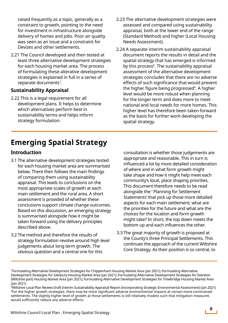raised frequently as a topic, generally as a constraint to growth, pointing to the need for investment in infrastructure alongside delivery of homes and jobs. Poor air quality was seen as an issue and a constraint for Devizes and other settlements.

2.21 The Council developed and then tested at least three alternative development strategies for each housing market area. The process of formulating these alterative development strategies is explained in full in a series of separate documents<sup>7</sup>.

#### **Sustainability Appraisal**

2.22 This is a legal requirement for all development plans. It helps to determine which alternatives perform best in sustainability terms and helps inform strategy formulation.

- 2.23 The alternative development strategies were assessed and compared using sustainability appraisal, both at the lower end of the range (Standard Method) and higher (Local Housing Needs Assessment).
- 2.24 A separate interim sustainability appraisal document reports the results in detail and the spatial strategy that has emerged is informed by this process<sup>8</sup>. The sustainability appraisal assessment of the alternative development strategies concludes that there are no adverse effects of such significance that would prevent the higher figure being progressed<sup>9</sup>. A higher level would be more robust when planning for the longer term and does more to meet national and local needs for more homes. This higher level has therefore been taken forward as the basis for further work developing the spatial strategy.

# **Emerging Spatial Strategy**

#### **Introduction**

- 3.1 The alternative development strategies tested for each housing market area are summarised below. There then follows the main findings of comparing them using sustainability appraisal. This leads to conclusions on the most appropriate scales of growth at each main settlement and the rural area. A short assessment is provided of whether these conclusions support climate change outcomes. Based on this discussion, an emerging strategy is summarised alongside how it might be taken forward using the delivery principles described above.
- 3.2 The method and therefore the results of strategy formulation revolve around high level judgements about long term growth. The obvious question and a central one for this

consultation is whether those judgements are appropriate and reasonable. This in turn is influenced a lot by more detailed consideration of where and in what form growth might take shape and how it might help meet each community's local, place shaping priorities. This document therefore needs to be read alongside the ' Planning for Settlement Statements' that pick up those more detailed aspects for each main settlement; what are the priorities for the future and what are the choices for the location and form growth might take? In short, the top down meets the bottom up and each influences the other.

3.3 The great majority of growth is proposed at the County's three Principal Settlements. This continues the approach of the current Wiltshire Core Strategy. As their position is so central, to

<sup>7</sup> Formulating Alternative Development Strategies for Chippenham Housing Market Area (Jan 2021); Formulating Alternative Development Strategies for Salisbury Housing Market Area (Jan 2021); Formulating Alternative Development Strategies for Swindon (Wiltshire part) Housing Market Area (Jan 2021); Formulating Alternative Development Strategies for Trowbridge Housing Market Area (Jan 2021)

<sup>8</sup> Wiltshire Local Plan Review Draft Interim Sustainability Appraisal Report (incorporating Strategic Environmental Assessment) (Jan 2021) <sup>9</sup>For the higher growth strategies, there may be more significant adverse environmental impacts at certain more constrained settlements. The slightly higher level of growth at those settlements is still relatively modest such that mitigation measures would sufficiently reduce any adverse effects.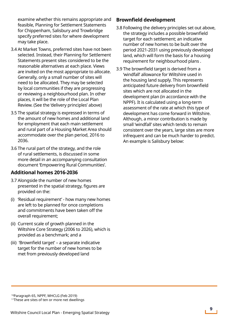examine whether this remains appropriate and feasible, Planning for Settlement Statements for Chippenham, Salisbury and Trowbridge specify preferred sites for where development may take place.

- 3.4 At Market Towns, preferred sites have not been selected. Instead, their Planning for Settlement Statements present sites considered to be the reasonable alternatives at each place. Views are invited on the most appropriate to allocate. Generally, only a small number of sites will need to be allocated. They may be selected by local communities if they are progressing or reviewing a neighbourhood plan. In other places, it will be the role of the Local Plan Review. (See the 'delivery principles' above)
- 3.5 The spatial strategy is expressed in terms of the amount of new homes and additional land for employment that each main settlement and rural part of a Housing Market Area should accommodate over the plan period, 2016 to 2036.
- 3.6 The rural part of the strategy, and the role of rural settlements, is discussed in some more detail in an accompanying consultation document 'Empowering Rural Communities'.

#### **Additional homes 2016-2036**

- 3.7 Alongside the number of new homes presented in the spatial strategy, figures are provided on the:
- (i) 'Residual requirement' how many new homes are left to be planned for once completions and commitments have been taken off the overall requirement;
- (ii) Current scale of growth planned in the Wiltshire Core Strategy (2006 to 2026), which is provided as a benchmark; and a
- (iii) 'Brownfield target' a separate indicative target for the number of new homes to be met from previously developed land

### **Brownfield development**

- 3.8 Following the delivery principles set out above, the strategy includes a possible brownfield target for each settlement; an indicative number of new homes to be built over the period 2021-2031 using previously developed land, which will form the basis for a housing requirement for neighbourhood plans .
- 3.9 The brownfield target is derived from a 'windfall' allowance for Wiltshire used in the housing land supply. This represents anticipated future delivery from brownfield sites which are not allocated in the development plan (in accordance with the NPPF). It is calculated using a long-term assessment of the rate at which this type of development has come forward in Wiltshire. Although, a minor contribution is made by small 'windfall' sites which tends to remain consistent over the years, large sites are more infrequent and can be much harder to predict. An example is Salisbury below:

10Paragraph 65, NPPF, MHCLG (Feb 2019)

<sup>&</sup>lt;sup>11</sup>These are sites of ten or more net dwellings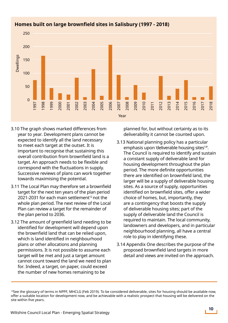

### **Homes built on large brownfield sites in Salisbury (1997 - 2018)**

- 3.10 The graph shows marked differences from year to year. Development plans cannot be expected to identify all the land necessary to meet each target at the outset. It is important to recognise that sustaining this overall contribution from brownfield land is a target. An approach needs to be flexible and correspond with the fluctuations in supply. Successive reviews of plans can work together towards maximising the potential.
- 3.11 The Local Plan may therefore set a brownfield target for the next ten years of the plan period 2021-2031 for each main settlement<sup>12</sup> not the whole plan period. The next review of the Local Plan can review a target for the remainder of the plan period to 2036.
- 3.12 The amount of greenfield land needing to be identified for development will depend upon the brownfield land that can be relied upon, which is land identified in neighbourhood plans or other allocations and planning permissions. It is not possible to assume each target will be met and just a target amount cannot count toward the land we need to plan for. Indeed, a target, on paper, could exceed the number of new homes remaining to be Since the graph s<br>
year to year. I<br>
expected to id<br>
to meet each<br>
important to<br>
overall contril<br>
target. An app<br>
correspond w<br>
Successive re<br>
towards maxi<br>
3.11 The Local Pla<br>
target for the<br>
2021-2031 for<br>
whole plan peri

planned for, but without certainty as to its deliverability it cannot be counted upon.

- 3.13 National planning policy has a particular emphasis upon 'deliverable housing sites<sup>13'</sup>. The Council is required to identify and sustain a constant supply of deliverable land for housing development throughout the plan period. The more definite opportunities there are identified on brownfield land, the larger will be a supply of deliverable housing sites. As a source of supply, opportunities identified on brownfield sites, offer a wider choice of homes, but, importantly, they are a contingency that boosts the supply of deliverable housing sites; part of the supply of deliverable land the Council is required to maintain. The local community, landowners and developers, and in particular neighbourhood planning, all have a central role to play in identifying these.
- 3.14 Appendix One describes the purpose of the proposed brownfield land targets in more detail and views are invited on the approach.

 $13$ See the glossary of terms in NPPF, MHCLG (Feb 2019). To be considered deliverable, sites for housing should be available now, offer a suitable location for development now, and be achievable with a realistic prospect that housing will be delivered on the<br>site within five years.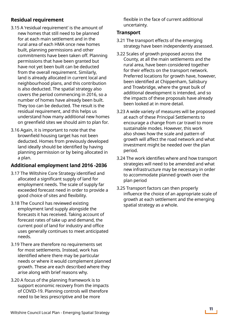# **Residual requirement**

- 3.15 A 'residual requirement' is the amount of new homes that still need to be planned for at each main settlement and in the rural area of each HMA once new homes built, planning permissions and other commitments have been taken off. Planning permissions that have been granted but have not yet been built can be deducted from the overall requirement. Similarly, land is already allocated in current local and neighbourhood plans, and this contribution is also deducted. The spatial strategy also covers the period commencing in 2016, so a number of homes have already been built. They too can be deducted. The result is the residual requirement, and this helps us understand how many additional new homes on greenfield sites we should aim to plan for.
- 3.16 Again, it is important to note that the brownfield housing target has not been deducted. Homes from previously developed land ideally should be identified by having planning permission or by being allocated in a plan.

#### **Additional employment land 2016 -2036**

- 3.17 The Wiltshire Core Strategy identified and allocated a significant supply of land for employment needs. The scale of supply far exceeded forecast need in order to provide a good choice of sites and flexibility.
- 3.18 The Council has reviewed existing employment land supply alongside the forecasts it has received. Taking account of forecast rates of take up and demand, the current pool of land for industry and office uses generally continues to meet anticipated needs.
- 3.19 There are therefore no requirements set for most settlements. Instead, work has identified where there may be particular needs or where it would complement planned growth. These are each described where they arise along with brief reasons why.
- 3.20 A focus of the planning framework is to support economic recovery from the impacts of COVID-19. Planning controls will therefore need to be less prescriptive and be more

flexible in the face of current additional uncertainty.

#### **Transport**

- 3.21 The transport effects of the emerging strategy have been independently assessed.
- 3.22 Scales of growth proposed across the County, at all the main settlements and the rural area, have been considered together for their effects on the transport network. Preferred locations for growth have, however, been identified at Chippenham, Salisbury and Trowbridge, where the great bulk of additional development is intended, and so the impacts of these proposals have already been looked at in more detail.
- 3.23 A wide variety of measures will be proposed at each of these Principal Settlements to encourage a change from car travel to more sustainable modes. However, this work also shows how the scale and pattern of growth will affect the road network and what investment might be needed over the plan period.
- 3.24 The work identifies where and how transport strategies will need to be amended and what new infrastructure may be necessary in order to accommodate planned growth over the plan period
- 3.25 Transport factors can then properly influence the choice of an appropriate scale of growth at each settlement and the emerging spatial strategy as a whole.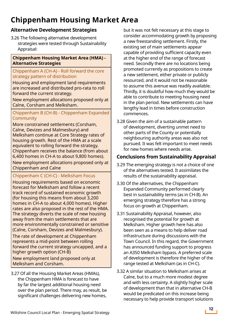# **Chippenham Housing Market Area**

# **Alternative Development Strategies**

3.26 The following alternative development strategies were tested through Sustainability Appraisal:

#### **Chippenham Housing Market Area (HMA) - Alternative Strategies**

#### Chippenham A (CH-A) - Roll forward the core strategy pattern of distribution

Housing and employment land requirements are increased and distributed pro-rata to roll forward the current strategy.

New employment allocations proposed only at Calne, Corsham and Melksham.

#### Chippenham B (CH-B) - Chippenham Expanded Community

More constrained settlements (Corsham, Calne, Devizes and Malmesbury) and Melksham continue at Core Strategy rates of housing growth. Rest of the HMA at a scale equivalent to rolling forward the strategy. Chippenham receives the balance (from about 6,400 homes in CH-A to about 9,800 homes).

New employment allocations proposed only at Chippenham and Calne

#### Chippenham C (CH-C) - Melksham Focus

Housing requirements based on economic forecast for Melksham and follow a recent track record of sustained economic growth (for housing this means from about 3,200 homes in CH-A to about 4,000 homes). Higher rates are also proposed in the rest of the HMA. The strategy diverts the scale of new housing away from the main settlements that are more environmentally constrained or sensitive (Calne, Corsham, Devizes and Malmesbury).

The rate of development at Chippenham represents a mid-point between rolling forward the current strategy uncapped, and a higher growth option (CH-B)

New employment land proposed only at Melksham and Corsham.

3.27 Of all the Housing Market Areas (HMAs), the Chippenham HMA is forecast to have by far the largest additional housing need over the plan period. There may, as result, be significant challenges delivering new homes,

but it was not felt necessary at this stage to consider accommodating growth by proposing a new freestanding settlement. Firstly, the existing set of main settlements appear capable of providing sufficient capacity even at the higher end of the range of forecast need. Secondly there are no locations being promoted currently as propositions to create a new settlement, either private or publicly resourced, and it would not be reasonable to assume this avenue was readily available. Thirdly, it is doubtful how much they would be able to contribute to meeting housing need in the plan period. New settlements can have lengthy lead in times before construction commences.

3.28 Given the aim of a sustainable pattern of development, diverting unmet need to other parts of the County or potentially neighbouring authority areas was also not pursued. It was felt important to meet needs for new homes where needs arise.

### **Conclusions from Sustainability Appraisal**

- 3.29 The emerging strategy is not a choice of one of the alternatives tested. It assimilates the results of the sustainability appraisal.
- 3.30 Of the alternatives, the Chippenham Expanded Community performed clearly best in sustainability terms (as in CH-B). An emerging strategy therefore has a strong focus on growth at Chippenham.
- 3.31 Sustainability Appraisal, however, also recognised the potential for growth at Melksham. Higher growth here has also been seen as a means to help deliver road infrastructure during discussions with the Town Council. In this regard, the Government has announced funding support to progress an A350 Melksham bypass. A preferred scale of development is therefore the higher of the range tested at Melksham (as in CH-C).
- 3.32 A similar situation to Melksham arises at Calne, but to a much more modest degree and with less certainty. A slightly higher scale of development than that in alternative CH-B would be predicated on this increase being necessary to help provide transport solutions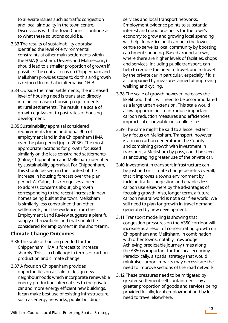to alleviate issues such as traffic congestion and local air quality in the town centre. Discussions with the Town Council continue as to what these solutions could be.

- 3.33 The results of sustainability appraisal identified the level of environmental constraints at other main settlements within the HMA (Corsham, Devizes and Malmesbury) should lead to a smaller proportion of growth if possible. The central focus on Chippenham and Melksham provides scope to do this and growth is reduced from that in alternative CH-B.
- 3.34 Outside the main settlements, the increased level of housing need is translated directly into an increase in housing requirements at rural settlements. The result is a scale of growth equivalent to past rates of housing development.
- 3.35 Sustainability appraisal considered requirements for an additional 9ha of employment land in the Chippenham HMA over the plan period (up to 2036). The most appropriate locations for growth focussed similarly on the less constrained settlements (Calne, Chippenham and Melksham) identified by sustainability appraisal. For Chippenham, this should be seen in the context of the increase in housing forecast over the plan period. At Calne, this recognises a need to address concerns about job growth corresponding to the recent increase in new homes being built at the town. Melksham is similarly less constrained than other settlements, but the evidence from the Employment Land Review suggests a plentiful supply of brownfield land that should be considered for employment in the short-term.

#### **Climate Change Outcomes**

- 3.36 The scale of housing needed for the Chippenham HMA is forecast to increase sharply. This is a challenge in terms of carbon production and climate change.
- 3.37 A focus on Chippenham provides opportunities on a scale to design new neighbourhoods which incorporate renewable energy production, alternatives to the private car and more energy efficient new buildings. It can make best use of existing infrastructure, such as energy networks, public buildings,

services and local transport networks. Employment evidence points to substantial interest and good prospects for the town's economy to grow and growing local spending will help. In particular, it can help the town centre to serve its local community by boosting catchment spending. Based around a town, where there are higher levels of facilities, shops and services, including public transport, can help to reduce the need to travel, and to travel by the private car in particular, especially if it is accompanied by measures aimed at improving walking and cycling.

- 3.38 The scale of growth however increases the likelihood that it will need to be accommodated as a large urban extension. This scale would allow opportunities to introduce important carbon reduction measures and efficiencies impractical or unviable on smaller sites.
- 3.39 The same might be said to a lesser extent by a focus on Melksham. Transport, however, is a main carbon generator in the County and combining growth with investment in transport, a Melksham by-pass, could be seen as encouraging greater use of the private car.
- 3.40 Investment in transport infrastructure can be justified on climate change benefits overall; that it improves a town's environment by tackling traffic congestion and enables less carbon use elsewhere by the advantages of focusing growth. Also, longer term, a future carbon neutral world is not a car free world. We still need to plan for growth in travel demand generated by new development.
- 3.41 Transport modelling is showing that congestion pressures on the A350 corridor will increase as a result of concentrating growth on Chippenham and Melksham, in combination with other towns, notably Trowbridge. Achieving predictable journey times along the A350 is important for the local economy. Paradoxically, a spatial strategy that would minimise carbon impacts may necessitate the need to improve sections of the road network.
- 3.42 These pressures need to be mitigated by greater settlement self-containment - by a greater proportion of goods and services being provided locally, local employment and by less need to travel elsewhere.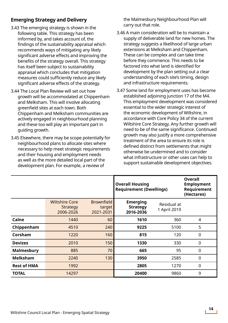### **Emerging Strategy and Delivery**

- 3.43 The emerging strategy is shown in the following table. This strategy has been informed by, and takes account of, the findings of the sustainability appraisal which recommends ways of mitigating any likely significant adverse effects and improving the benefits of the strategy overall. This strategy has itself been subject to sustainability appraisal which concludes that mitigation measures could sufficiently reduce any likely significant adverse effects of the strategy.
- 3.44 The Local Plan Review will set out how growth will be accommodated at Chippenham and Melksham. This will involve allocating greenfield sites at each town. Both Chippenham and Melksham communities are actively engaged in neighbourhood planning and these too will play an important part in guiding growth.
- 3.45 Elsewhere, there may be scope potentially for neighbourhood plans to allocate sites where necessary to help meet strategic requirements and their housing and employment needs as well as the more detailed local part of the development plan. For example, a review of

the Malmesbury Neighbourhood Plan will carry out that role.

- 3.46 A main consideration will be to maintain a supply of deliverable land for new homes. The strategy suggests a likelihood of large urban extensions at Melksham and Chippenham. These can be complex and can take time before they commence. This needs to be factored into what land is identified for development by the plan setting out a clear understanding of each site's timing, design and infrastructure requirements.
- 3.47 Some land for employment uses has become established adjoining junction 17 of the M4. This employment development was considered essential to the wider strategic interest of the economic development of Wiltshire, in accordance with Core Policy 34 of the current Wiltshire Core Strategy. Any further growth will need to be of the same significance. Continued growth may also justify a more comprehensive treatment of the area to ensure its role is defined distinct from settlements that might otherwise be undermined and to consider what infrastructure or other uses can help to support sustainable development objectives.

|                    |                                                |                                          | <b>Overall Housing</b><br><b>Requirement (Dwellings)</b> |                             | <b>Overall</b><br><b>Employment</b><br>Requirement<br>(Hectares) |
|--------------------|------------------------------------------------|------------------------------------------|----------------------------------------------------------|-----------------------------|------------------------------------------------------------------|
|                    | <b>Wiltshire Core</b><br>Strategy<br>2006-2026 | <b>Brownfield</b><br>target<br>2021-2031 | <b>Emerging</b><br><b>Strategy</b><br>2016-2036          | Residual at<br>1 April 2019 |                                                                  |
| Calne              | 1440                                           | 60                                       | 1610                                                     | 360                         | $\overline{4}$                                                   |
| Chippenham         | 4510                                           | 240                                      | 9225                                                     | 5100                        | 5                                                                |
| Corsham            | 1220                                           | 160                                      | 815                                                      | 120                         | $\mathbf 0$                                                      |
| <b>Devizes</b>     | 2010                                           | 150                                      | 1330                                                     | 330                         | $\overline{0}$                                                   |
| <b>Malmesbury</b>  | 885                                            | 70                                       | 665                                                      | 95                          | $\mathbf 0$                                                      |
| <b>Melksham</b>    | 2240                                           | 130                                      | 3950                                                     | 2585                        | $\mathbf 0$                                                      |
| <b>Rest of HMA</b> | 1992                                           |                                          | 2805                                                     | 1270                        | $\mathbf 0$                                                      |
| <b>TOTAL</b>       | 14297                                          |                                          | 20400                                                    | 9860                        | 9                                                                |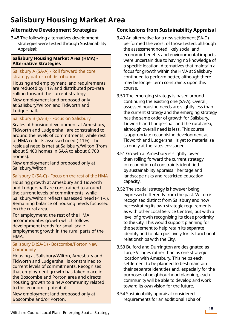# **Salisbury Housing Market Area**

# **Alternative Development Strategies**

3.48 The following alternatives development strategies were tested through Sustainability Appraisal:

#### **Salisbury Housing Market Area (HMA) - Alternative Strategies**

#### Salisbury A (SA-A) - Roll forward the core strategy pattern of distribution

Housing and employment land requirements are reduced by 11% and distributed pro-rata rolling forward the current strategy.

New employment land proposed only at Salisbury/Wilton and Tidworth and Ludgershall.

### Salisbury B (SA-B) - Focus on Salisbury

Scales of housing development at Amesbury, Tidworth and Ludgershall are constrained to around the levels of commitments, while rest of HMA reflects assessed need (-11%). The residual need is met at Salisbury/Wilton (from about 5,400 homes in SA-A to about 6,700 homes).

New employment land proposed only at Salisbury/Wilton.

#### Salisbury C (SA-C) - Focus on the rest of the HMA

Housing growth at Amesbury and Tidworth and Ludgershall are constrained to around the current levels of commitments, while Salisbury/Wilton reflects assessed need (-11%). Remaining balance of housing needs focussed on the rural area.

For employment, the rest of the HMA accommodates growth which follows development trends for small scale employment growth in the rural parts of the HMA.

#### Salisbury D (SA-D) - Boscombe/Porton New **Community**

Housing at Salisbury/Wilton, Amesbury and Tidworth and Ludgershall is constrained to current levels of commitments. Recognises that employment growth has taken place in the Boscombe and Porton area and directs housing growth to a new community related to this economic potential.

New employment land proposed only at Boscombe and/or Porton.

# **Conclusions from Sustainability Appraisal**

- 3.49 An alternative for a new settlement (SA-D) performed the worst of those tested, although the assessment noted likely social and economic benefits and environmental impacts were uncertain due to having no knowledge of a specific location. Alternatives that maintain a focus for growth within the HMA at Salisbury continued to perform better, although there may be longer term constraints upon this course.
- 3.50 The emerging strategy is based around continuing the existing one (SA-A). Overall, assessed housing needs are slightly less than the current strategy and the emerging strategy has the same order of growth for Salisbury, Tidworth and Ludgershall and the rural area, although overall need is less. This course is appropriate recognising development at Tidworth and Ludgershall is yet to materialise strongly at the rates envisaged.
- 3.51 Growth at Amesbury is slightly lower than rolling forward the current strategy in recognition of constraints identified by sustainability appraisal; heritage and landscape risks and restricted education capacity.
- 3.52 The spatial strategy is however being expressed differently from the past. Wilton is recognised distinct from Salisbury and now necessitating its own strategic requirements as with other Local Service Centres, but with a level of growth recognising its close proximity to the City. This would support planning for the settlement to help retain its separate identity and to plan positively for its functional relationships with the City.
- 3.53 Bulford and Durrington are designated as Large Villages rather than as one strategic location with Amesbury. This helps each settlement to be planned to best maintain their separate identities and, especially for the purposes of neighbourhood planning, each community will be able to develop and work toward its own vision for the future.
- 3.54 Sustainability appraisal considered requirements for an additional 10ha of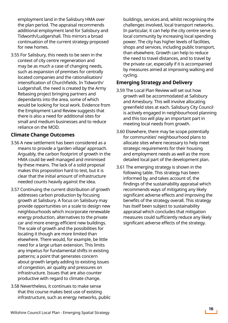employment land in the Salisbury HMA over the plan period. The appraisal recommends additional employment land for Salisbury and Tidworth/Ludgershall. This mirrors a broad continuation of the current strategy proposed for new homes.

3.55 For Salisbury, this needs to be seen in the context of city centre regeneration and may be as much a case of changing needs, such as expansion of premises for centrally located companies and the rationalisation/ intensification of Churchfields. In Tidworth/ Ludgershall, the need is created by the Army Rebasing project bringing partners and dependants into the area, some of which would be looking for local work. Evidence from the Employment Land Review suggests that there is also a need for additional sites for small and medium businesses and to reduce reliance on the MOD.

#### **Climate Change Outcomes**

- 3.56 A new settlement has been considered as a means to provide a 'garden village' approach. Arguably, the carbon footprint of growth in the HMA could be well managed and minimised by these means. The lack of a solid proposal makes this proposition hard to test, but it is clear that the initial amount of infrastructure needed counts heavily against the idea.
- 3.57 Continuing the current distribution of growth addresses carbon production by focusing growth at Salisbury. A focus on Salisbury may provide opportunities on a scale to design new neighbourhoods which incorporate renewable energy production, alternatives to the private car and more energy efficient new buildings. The scale of growth and the possibilities for locating it though are more limited than elsewhere. There would, for example, be little need for a large urban extension. This limits any impetus for fundamental shifts in existing patterns; a point that generates concern about growth largely adding to existing issues of congestion, air quality and pressures on infrastructure. Issues that are also counter productive with regard to climate change.
- 3.58 Nevertheless, it continues to make sense that this course makes best use of existing infrastructure, such as energy networks, public

buildings, services and, whilst recognising the challenges involved, local transport networks. In particular, it can help the city centre serve its local community by increasing local spending power. The city has higher levels of facilities, shops and services, including public transport, than elsewhere. Growth can help to reduce the need to travel distances, and to travel by the private car, especially if it is accompanied by measures aimed at improving walking and cycling.

#### **Emerging Strategy and Delivery**

- 3.59 The Local Plan Review will set out how growth will be accommodated at Salisbury and Amesbury. This will involve allocating greenfield sites at each. Salisbury City Council is actively engaged in neighbourhood planning and this too will play an important part in meeting local needs from growth.
- 3.60 Elsewhere, there may be scope potentially for communities' neighbourhood plans to allocate sites where necessary to help meet strategic requirements for their housing and employment needs as well as the more detailed local part of the development plan.
- 3.61 The emerging strategy is shown in the following table. This strategy has been informed by, and takes account of, the findings of the sustainability appraisal which recommends ways of mitigating any likely significant adverse effects and improving the benefits of the strategy overall. This strategy has itself been subject to sustainability appraisal which concludes that mitigation measures could sufficiently reduce any likely significant adverse effects of the strategy.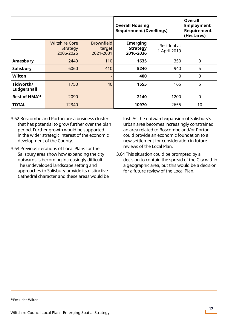|                           |                                                |                                          | <b>Overall Housing</b><br><b>Requirement (Dwellings)</b> |                             | <b>Overall</b><br><b>Employment</b><br>Requirement<br>(Hectares) |
|---------------------------|------------------------------------------------|------------------------------------------|----------------------------------------------------------|-----------------------------|------------------------------------------------------------------|
|                           | <b>Wiltshire Core</b><br>Strategy<br>2006-2026 | <b>Brownfield</b><br>target<br>2021-2031 | <b>Emerging</b><br><b>Strategy</b><br>2016-2036          | Residual at<br>1 April 2019 |                                                                  |
| Amesbury                  | 2440                                           | 110                                      | 1635                                                     | 350                         | $\mathbf 0$                                                      |
| Salisbury                 | 6060                                           | 410                                      | 5240                                                     | 940                         | 5                                                                |
| Wilton                    |                                                | -                                        | 400                                                      | 0                           | $\overline{0}$                                                   |
| Tidworth/<br>Ludgershall  | 1750                                           | 40                                       | 1555                                                     | 165                         | 5                                                                |
| Rest of HMA <sup>14</sup> | 2090                                           |                                          | 2140                                                     | 1200                        | $\mathbf 0$                                                      |
| <b>TOTAL</b>              | 12340                                          |                                          | 10970                                                    | 2655                        | 10                                                               |

- 3.62 Boscombe and Porton are a business cluster that has potential to grow further over the plan period. Further growth would be supported in the wider strategic interest of the economic development of the County.
- 3.63 Previous iterations of Local Plans for the Salisbury area show how expanding the city outwards is becoming increasingly difficult. The undeveloped landscape setting and approaches to Salisbury provide its distinctive Cathedral character and these areas would be

lost. As the outward expansion of Salisbury's urban area becomes increasingly constrained an area related to Boscombe and/or Porton could provide an economic foundation to a new settlement for consideration in future reviews of the Local Plan.

3.64 This situation could be prompted by a decision to contain the spread of the City within a geographic area, but this would be a decision for a future review of the Local Plan.

14Excludes Wilton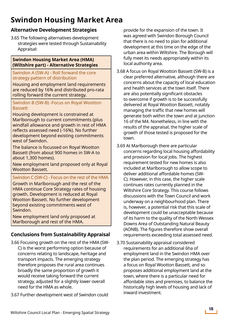# **Swindon Housing Market Area**

### **Alternative Development Strategies**

3.65 The following alternatives development strategies were tested through Sustainability Appraisal:

#### **Swindon Housing Market Area (HMA) (Wiltshire part) - Alternative Strategies**

#### Swindon A (SW-A) - Roll forward the core strategy pattern of distribution

Housing and employment land requirements are reduced by 16% and distributed pro-rata rolling forward the current strategy.

Swindon B (SW-B) -Focus on Royal Wootton **Bassett** 

Housing development is constrained at Marlborough to current commitments (plus windfall allowance and growth in rest of HMA reflects assessed need (-16%). No further development beyond existing commitments west of Swindon.

The balance is focussed on Royal Wootton Bassett (from about 900 homes in SW-A to about 1,300 homes).

New employment land proposed only at Royal Wootton Bassett.

#### Swindon C (SW-C) - Focus on the rest of the HMA

Growth in Marlborough and the rest of the HMA continue Core Strategy rates of housing growth. Development is reduced at Royal Wootton Bassett. No further development beyond existing commitments west of Swindon.

New employment land only proposed at Marlborough and rest of the HMA.

### **Conclusions from Sustainability Appraisal**

- 3.66 Focusing growth on the rest of the HMA (SW-C) is the worst performing option because of concerns relating to landscape, heritage and transport impacts. The emerging strategy therefore proposes the rural area continues broadly the same proportion of growth it would receive taking forward the current strategy, adjusted for a slightly lower overall need for the HMA as whole.
- 3.67 Further development west of Swindon could

provide for the expansion of the town. It was agreed with Swindon Borough Council that there is no need to plan for additional development at this time on the edge of the urban area within Wiltshire. The Borough will fully meet its needs appropriately within its local authority area.

- 3.68 A focus on Royal Wootton Bassett (SW-B) is a clear preferred alternative, although there are concerns about the capacity of local education and health services at the town itself. There are also potentially significant obstacles to overcome if growth is to be successfully delivered at Royal Wootton Bassett, notably managing the traffic that new homes will generate both within the town and at junction 16 of the M4. Nonetheless, in line with the results of the appraisal, the higher scale of growth of those tested is proposed for the town.
- 3.69 At Marlborough there are particular concerns regarding local housing affordability and provision for local jobs. The highest requirement tested for new homes is also included at Marlborough to allow scope to deliver additional affordable homes (SW-C). However, in this case, the higher scale continues rates currently planned in the Wiltshire Core Strategy. This course follows discussions with the Town Council and work underway on a neighbourhood plan. There is, however, a potential risk that this scale of development could be unacceptable because of its harm to the quality of the North Wessex Downs Area of Outstanding Natural Beauty (AONB). The figures therefore show overall requirements exceeding total assessed need.
- 3.70 Sustainability appraisal considered requirements for an additional 6ha of employment land in the Swindon HMA over the plan period. The emerging strategy has a focus on Royal Wootton Bassett, and so proposes additional employment land at the town, where there is a particular need for affordable sites and premises, to balance the historically high levels of housing and lack of inward investment.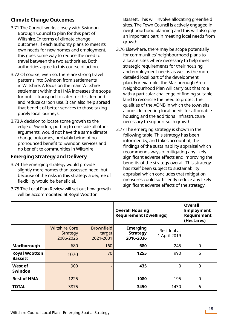### **Climate Change Outcomes**

- 3.71 The Council works closely with Swindon Borough Council to plan for this part of Wiltshire. In terms of climate change outcomes, if each authority plans to meet its own needs for new homes and employment, this goes some way to reduce the need to travel between the two authorities. Both authorities agree to this course of action.
- 3.72 Of course, even so, there are strong travel patterns into Swindon from settlements in Wiltshire. A focus on the main Wiltshire settlement within the HMA increases the scope for public transport to cater for this demand and reduce carbon use. It can also help spread that benefit of better services to those taking purely local journeys.
- 3.73 A decision to locate some growth to the edge of Swindon, putting to one side all other arguments, would not have the same climate change outcomes, probably being of no pronounced benefit to Swindon services and no benefit to communities in Wiltshire.

### **Emerging Strategy and Delivery**

- 3.74 The emerging strategy would provide slightly more homes than assessed need, but because of the risks in this strategy a degree of flexibility would be beneficial.
- 3.75 The Local Plan Review will set out how growth will be accommodated at Royal Wootton

Bassett. This will involve allocating greenfield sites. The Town Council is actively engaged in neighbourhood planning and this will also play an important part in meeting local needs from growth.

- 3.76 Elsewhere, there may be scope potentially for communities' neighbourhood plans to allocate sites where necessary to help meet strategic requirements for their housing and employment needs as well as the more detailed local part of the development plan. For example, the Marlborough Area Neighbourhood Plan will carry out that role with a particular challenge of finding suitable land to reconcile the need to protect the qualities of the AONB in which the town sits alongside meeting local needs for affordable housing and the additional infrastructure necessary to support such growth.
- 3.77 The emerging strategy is shown in the following table. This strategy has been informed by, and takes account of, the findings of the sustainability appraisal which recommends ways of mitigating any likely significant adverse effects and improving the benefits of the strategy overall. This strategy has itself been subject to sustainability appraisal which concludes that mitigation measures could sufficiently reduce any likely significant adverse effects of the strategy.

|                                        |                                                       |                                          | <b>Overall Housing</b><br><b>Requirement (Dwellings)</b> |                             | <b>Overall</b><br><b>Employment</b><br>Requirement<br>(Hectares) |
|----------------------------------------|-------------------------------------------------------|------------------------------------------|----------------------------------------------------------|-----------------------------|------------------------------------------------------------------|
|                                        | <b>Wiltshire Core</b><br><b>Strategy</b><br>2006-2026 | <b>Brownfield</b><br>target<br>2021-2031 | <b>Emerging</b><br><b>Strategy</b><br>2016-2036          | Residual at<br>1 April 2019 |                                                                  |
| Marlborough                            | 680                                                   | 160                                      | 680                                                      | 245                         | $\mathbf 0$                                                      |
| <b>Royal Wootton</b><br><b>Bassett</b> | 1070                                                  | 70                                       | 1255                                                     | 990                         | 6                                                                |
| West of<br><b>Swindon</b>              | 900                                                   | -                                        | 435                                                      | 0                           | $\overline{0}$                                                   |
| <b>Rest of HMA</b>                     | 1225                                                  | ٠                                        | 1080                                                     | 195                         | $\mathbf 0$                                                      |
| <b>TOTAL</b>                           | 3875                                                  |                                          | 3450                                                     | 1430                        | 6                                                                |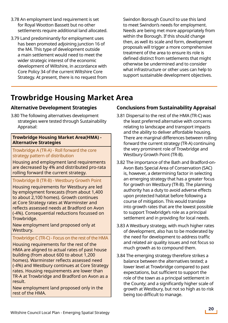- 3.78 An employment land requirement is set for Royal Wootton Bassett but no other settlements require additional land allocated.
- 3.79 Land predominantly for employment uses has been promoted adjoining junction 16 of the M4. This type of development outside a main settlement would need to meet the wider strategic interest of the economic development of Wiltshire, in accordance with Core Policy 34 of the current Wiltshire Core Strategy. At present, there is no request from

Swindon Borough Council to use this land to meet Swindon's needs for employment. Needs are being met more appropriately from within the Borough. If this should change then, as well its scale and form, development proposals will trigger a more comprehensive treatment of the area to ensure its role is defined distinct from settlements that might otherwise be undermined and to consider what infrastructure or other uses can help to support sustainable development objectives.

# **Trowbridge Housing Market Area**

#### **Alternative Development Strategies**

3.80 The following alternatives development strategies were tested through Sustainability Appraisal:

#### **Trowbridge Housing Market Area(HMA) - Alternative Strategies**

#### Trowbridge A (TR-A) - Roll forward the core strategy pattern of distribution

Housing and employment land requirements are decreased by 4% and distributed pro-rata rolling forward the current strategy.

#### Trowbridge B (TR-B) - Westbury Growth Point

Housing requirements for Westbury are led by employment forecasts (from about 1,400 to about 2,100 homes). Growth continues at Core Strategy rates at Warminster and reflects assessed needs at Bradford on Avon (-4%). Consequential reductions focussed on Trowbridge.

New employment land proposed only at Westbury.

#### Trowbridge C (TR-C) - Focus on the rest of the HMA

Housing requirements for the rest of the HMA are aligned to actual rates of past house building (from about 600 to about 1,200 homes). Warminster reflects assessed need (-4%) and Westbury continues at Core Strategy rates. Housing requirements are lower than TR-A at Trowbridge and Bradford on Avon as a result.

New employment land proposed only in the rest of the HMA.

### **Conclusions from Sustainability Appraisal**

- 3.81 Dispersal to the rest of the HMA (TR-C) was the least preferred alternative with concerns relating to landscape and transport impacts and the ability to deliver affordable housing. There are marginal differences between rolling forward the current strategy (TR-A) continuing the very prominent role of Trowbridge and Westbury Growth Point (TR-B).
- 3.82 The importance of the Bath and Bradford-on-Avon Bats Special Area of Conservation (SAC) is, however, a determining factor in selecting an emerging strategy that has a greater focus for growth on Westbury (TR-B). The planning authority has a duty to avoid adverse effects upon protected habitat before following a course of mitigation. This would translate into growth rates that are the lowest possible to support Trowbridge's role as a principal settlement and in providing for local needs.
- 3.83 A Westbury strategy, with much higher rates of development, also has to be moderated by the need for development to address traffic and related air quality issues and not focus so much growth as to compound them.
- 3.84 The emerging strategy therefore strikes a balance between the alternatives tested; a lower level at Trowbridge compared to past expectations, but sufficient to support the role of the town as a principal settlement in the County; and a significantly higher scale of growth at Westbury, but not so high as to risk being too difficult to manage.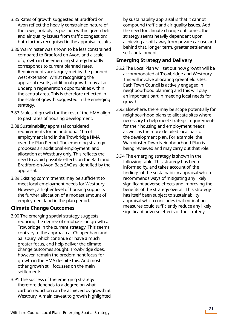- 3.85 Rates of growth suggested at Bradford on Avon reflect the heavily constrained nature of the town, notably its position within green belt and air quality issues from traffic congestion; both factors recognised in the appraisal results
- 3.86 Warminster was shown to be less constrained compared to Bradford on Avon, and a scale of growth in the emerging strategy broadly corresponds to current planned rates. Requirements are largely met by the planned west extension. Whilst recognising the appraisal results, additional growth may also underpin regeneration opportunities within the central area. This is therefore reflected in the scale of growth suggested in the emerging strategy.
- 3.87 Scales of growth for the rest of the HMA align to past rates of housing development.
- 3.88 Sustainability appraisal considered requirements for an additional 1ha of employment land in the Trowbridge HMA over the Plan Period. The emerging strategy proposes an additional employment land allocation at Westbury only. This reflects the need to avoid possible effects on the Bath and Bradford-on-Avon Bats SAC as identified by the appraisal.
- 3.89 Existing commitments may be sufficient to meet local employment needs for Westbury. However, a higher level of housing supports the further allocation of a modest amount of employment land in the plan period.

#### **Climate Change Outcomes**

- 3.90 The emerging spatial strategy suggests reducing the degree of emphasis on growth at Trowbridge in the current strategy. This seems contrary to the approach at Chippenham and Salisbury, which continue or have a much greater focus, and help deliver the climate change outcomes sought. Trowbridge does, however, remain the predominant focus for growth in the HMA despite this. And most other growth still focusses on the main settlements.
- 3.91 The success of the emerging strategy therefore depends to a degree on what carbon reduction can be achieved by growth at Westbury. A main caveat to growth highlighted

by sustainability appraisal is that it cannot compound traffic and air quality issues. Add the need for climate change outcomes, the strategy seems heavily dependent upon achieving a shift away from private car use and behind that, longer term, greater settlement self-containment.

#### **Emerging Strategy and Delivery**

- 3.92 The Local Plan will set out how growth will be accommodated at Trowbridge and Westbury. This will involve allocating greenfield sites. Each Town Council is actively engaged in neighbourhood planning and this will play an important part in meeting local needs for growth.
- 3.93 Elsewhere, there may be scope potentially for neighbourhood plans to allocate sites where necessary to help meet strategic requirements for their housing and employment needs as well as the more detailed local part of the development plan. For example, the Warminster Town Neighbourhood Plan is being reviewed and may carry out that role.
- 3.94 The emerging strategy is shown in the following table. This strategy has been informed by, and takes account of, the findings of the sustainability appraisal which recommends ways of mitigating any likely significant adverse effects and improving the benefits of the strategy overall. This strategy has itself been subject to sustainability appraisal which concludes that mitigation measures could sufficiently reduce any likely significant adverse effects of the strategy.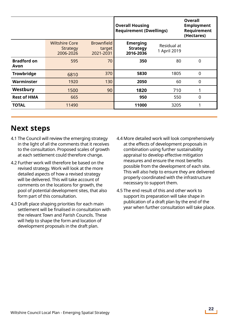|                            |                                                |                                          | <b>Overall Housing</b><br><b>Requirement (Dwellings)</b> |                             | <b>Overall</b><br><b>Employment</b><br>Requirement<br>(Hectares) |
|----------------------------|------------------------------------------------|------------------------------------------|----------------------------------------------------------|-----------------------------|------------------------------------------------------------------|
|                            | <b>Wiltshire Core</b><br>Strategy<br>2006-2026 | <b>Brownfield</b><br>target<br>2021-2031 | <b>Emerging</b><br><b>Strategy</b><br>2016-2036          | Residual at<br>1 April 2019 |                                                                  |
| <b>Bradford on</b><br>Avon | 595                                            | 70                                       | 350                                                      | 80                          | $\mathbf 0$                                                      |
| Trowbridge                 | 6810                                           | 370                                      | 5830                                                     | 1805                        | $\overline{0}$                                                   |
| <b>Warminster</b>          | 1920                                           | 130                                      | 2050                                                     | 60                          | $\mathbf 0$                                                      |
| Westbury                   | 1500                                           | 90                                       | 1820                                                     | 710                         |                                                                  |
| <b>Rest of HMA</b>         | 665                                            |                                          | 950                                                      | 550                         | $\mathbf 0$                                                      |
| <b>TOTAL</b>               | 11490                                          |                                          | 11000                                                    | 3205                        |                                                                  |

# **Next steps**

- 4.1 The Council will review the emerging strategy in the light of all the comments that it receives to the consultation. Proposed scales of growth at each settlement could therefore change.
- 4.2 Further work will therefore be based on the revised strategy. Work will look at the more detailed aspects of how a revised strategy will be delivered. This will take account of comments on the locations for growth, the pool of potential development sites, that also form part of this consultation.
- 4.3 Draft place shaping priorities for each main settlement will be finalised in consultation with the relevant Town and Parish Councils. These will help to shape the form and location of development proposals in the draft plan.
- 4.4 More detailed work will look comprehensively at the effects of development proposals in combination using further sustainability appraisal to develop effective mitigation measures and ensure the most benefits possible from the development of each site. This will also help to ensure they are delivered properly coordinated with the infrastructure necessary to support them.
- 4.5 The end result of this and other work to support its preparation will take shape in publication of a draft plan by the end of the year when further consultation will take place.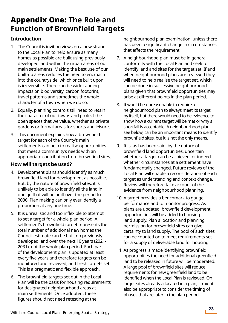# Appendix One: **The Role and Function of Brownfield Targets**

### **Introduction**

- 1. The Council is inviting views on a new strand to the Local Plan to help ensure as many homes as possible are built using previously developed land within the urban areas of our main settlements. Making the best use of our built-up areas reduces the need to encroach into the countryside, which once built upon is irreversible. There can be wide ranging impacts on biodiversity, carbon footprint, travel patterns and sometimes the whole character of a town when we do so.
- 2. Equally, planning controls still need to retain the character of our towns and protect the open spaces that we value, whether as private gardens or formal areas for sports and leisure.
- 3. This document explains how a brownfield target for each of the County's main settlements can help to realise opportunities that meet a community's needs with an appropriate contribution from brownfield sites.

#### **How will targets be used?**

- 4. Development plans should identify as much brownfield land for development as possible. But, by the nature of brownfield sites, it is unlikely to be able to identify all the land in one go that will be built over the period to 2036. Plan making can only ever identify a proportion at any one time.
- 5. It is unrealistic and too inflexible to attempt to set a target for a whole plan period. A settlement's brownfield target represents the total number of additional new homes the Council estimate can be built on previously developed land over the next 10 years (2021- 2031), not the whole plan period. Each part of the development plan is updated at least every five years and therefore targets can be monitored and reviewed, and fresh targets set. This is a pragmatic and flexible approach.
- 6. The brownfield targets set out in the Local Plan will be the basis for housing requirements for designated neighbourhood areas at main settlements. Once adopted, these figures should not need retesting at the

neighbourhood plan examination, unless there has been a significant change in circumstances that affects the requirement.

- 7. A neighbourhood plan must be in general conformity with the Local Plan and seek to identify land and sites for the target set. If and when neighbourhood plans are reviewed they will need to help realise the target set, which can be done in successive neighbourhood plans given that brownfield opportunities may arise at different points in the plan period.
- 8. It would be unreasonable to require a neighbourhood plan to always meet its target by itself, but there would need to be evidence to show how a current target will be met or why a shortfall is acceptable. A neighbourhood plan, see below, can be an important means to identify brownfield sites, but it is not the only means.
- 9. It is, as has been said, by the nature of brownfield land opportunities, uncertain whether a target can be achieved; or indeed whether circumstances at a settlement have fundamentally changed. Future reviews of the Local Plan will enable a reconsideration of each target as understanding and context change. Review will therefore take account of the evidence from neighbourhood planning.
- 10. A target provides a benchmark to gauge performance and to monitor progress. As plans are updated, brownfield development opportunities will be added to housing land supply. Plan allocation and planning permission for brownfield sites can give certainty to land supply. The pool of such sites can be counted on to meet requirements set for a supply of deliverable land for housing.
- 11. As progress is made identifying brownfield opportunities the need for additional greenfield land to be released in future will be moderated. A large pool of brownfield sites will reduce requirements for new greenfield land to be identified when the Local Plan is reviewed. On larger sites already allocated in a plan, it might also be appropriate to consider the timing of phases that are later in the plan period.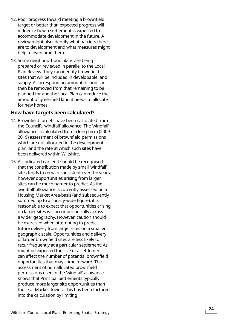- 12. Poor progress toward meeting a brownfield target or better than expected progress will influence how a settlement is expected to accommodate development in the future. A review might also identify what barriers there are to development and what measures might help to overcome them.
- 13. Some neighbourhood plans are being prepared or reviewed in parallel to the Local Plan Review. They can identify brownfield sites that will be included in developable land supply. A corresponding amount of land can then be removed from that remaining to be planned for and the Local Plan can reduce the amount of greenfield land it needs to allocate for new homes.

#### **How have targets been calculated?**

- 14. Brownfield targets have been calculated from the Council's 'windfall' allowance. The 'windfall' allowance is calculated from a long-term (2009- 2019) assessment of brownfield permissions which are not allocated in the development plan, and the rate at which such sites have been delivered within Wiltshire.
- 15. As indicated earlier it should be recognised that the contribution made by small 'windfall' sites tends to remain consistent over the years, however opportunities arising from larger sites can be much harder to predict. As the 'windfall' allowance is currently assessed on a Housing Market Area-basis (and subsequently summed up to a county-wide figure), it is reasonable to expect that opportunities arising on larger sites will occur periodically across a wider geography. However, caution should be exercised when attempting to predict future delivery from larger sites on a smaller geographic scale. Opportunities and delivery of larger brownfield sites are less likely to recur frequently at a particular settlement. As might be expected the size of a settlement can affect the number of potential brownfield opportunities that may come forward. The assessment of non-allocated brownfield permissions used in the 'windfall' allowance shows that Principal Settlements typically produce more larger site opportunities than those at Market Towns. This has been factored into the calculation by limiting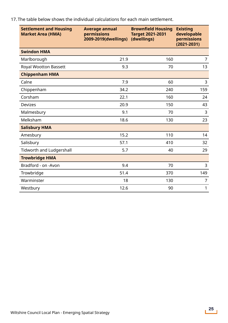| <b>Settlement and Housing</b><br><b>Market Area (HMA)</b> | <b>Average annual</b><br>permissions<br>2009-2019(dwellings) | <b>Brownfield Housing</b><br><b>Target 2021-2031</b><br>(dwellings) | <b>Existing</b><br>developable<br>permissions<br>$(2021 - 2031)$ |
|-----------------------------------------------------------|--------------------------------------------------------------|---------------------------------------------------------------------|------------------------------------------------------------------|
| <b>Swindon HMA</b>                                        |                                                              |                                                                     |                                                                  |
| Marlborough                                               | 21.9                                                         | 160                                                                 | $\overline{7}$                                                   |
| <b>Royal Wootton Bassett</b>                              | 9.3                                                          | 70                                                                  | 13                                                               |
| <b>Chippenham HMA</b>                                     |                                                              |                                                                     |                                                                  |
| Calne                                                     | 7.9                                                          | 60                                                                  | 3                                                                |
| Chippenham                                                | 34.2                                                         | 240                                                                 | 159                                                              |
| Corsham                                                   | 22.1                                                         | 160                                                                 | 24                                                               |
| <b>Devizes</b>                                            | 20.9                                                         | 150                                                                 | 43                                                               |
| Malmesbury                                                | 9.1                                                          | 70                                                                  | 3                                                                |
| Melksham                                                  | 18.6                                                         | 130                                                                 | 23                                                               |
| <b>Salisbury HMA</b>                                      |                                                              |                                                                     |                                                                  |
| Amesbury                                                  | 15.2                                                         | 110                                                                 | 14                                                               |
| Salisbury                                                 | 57.1                                                         | 410                                                                 | 32                                                               |
| <b>Tidworth and Ludgershall</b>                           | 5.7                                                          | 40                                                                  | 29                                                               |
| <b>Trowbridge HMA</b>                                     |                                                              |                                                                     |                                                                  |
| Bradford - on -Avon                                       | 9.4                                                          | 70                                                                  | 3                                                                |
| Trowbridge                                                | 51.4                                                         | 370                                                                 | 149                                                              |
| Warminster                                                | 18                                                           | 130                                                                 | 7                                                                |
| Westbury                                                  | 12.6                                                         | 90                                                                  | 1                                                                |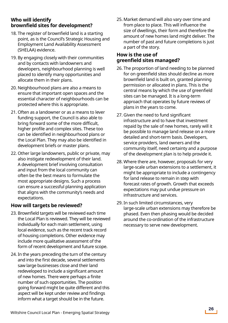#### **Who will identify brownfield sites for development?**

- 18. The register of brownfield land is a starting point, as is the Council's Strategic Housing and Employment Land Availability Assessment (SHELAA) evidence.
- 19. By engaging closely with their communities and by contacts with landowners and developers, neighbourhood planning is well placed to identify many opportunities and allocate them in their plans.
- 20. Neighbourhood plans are also a means to ensure that important open spaces and the essential character of neighbourhoods can be protected where this is appropriate.
- 21. Often as a landowner or as a means to lever funding support, the Council is also able to bring forward some of the more difficult, higher profile and complex sites. These too can be identified in neighbourhood plans or the Local Plan. They may also be identified in development briefs or master plans.
- 22. Other large landowners, public or private, may also instigate redevelopment of their land. A development brief involving consultation and input from the local community can often be the best means to formulate the most appropriate designs. Such a process can ensure a successful planning application that aligns with the community's needs and expectations.

### **How will targets be reviewed?**

- 23. Brownfield targets will be reviewed each time the Local Plan is reviewed. They will be reviewed individually for each main settlement, using local evidence, such as the recent track record of housing completions. Other evidence may include more qualitative assessment of the form of recent development and future scope.
- 24. In the years preceding the turn of the century and into the first decade, several settlements saw large businesses close and their land redeveloped to include a significant amount of new homes. There were perhaps a finite number of such opportunities. The position going forward might be quite different and this aspect will be kept under review and findings inform what a target should be in the future.

25. Market demand will also vary over time and from place to place. This will influence the size of dwellings, their form and therefore the amount of new homes land might deliver. The number of past and future completions is just a part of the story.

#### **How is the use of greenfield sites managed?**

- 26. The proportion of land needing to be planned for on greenfield sites should decline as more brownfield land is built on, granted planning permission or allocated in plans. This is the central means by which the use of greenfield sites can be managed. It is a long-term approach that operates by future reviews of plans in the years to come.
- 27. Given the need to fund significant infrastructure and to have that investment repaid by the sale of new homes, rarely will it be possible to manage land release on a more detailed and short-term basis. Developers, service providers, land owners and the community itself, need certainty and a purpose of the development plan is to help provide it.
- 28. Where there are, however, proposals for very large-scale urban extensions to a settlement, it might be appropriate to include a contingency for land release to remain in step with forecast rates of growth. Growth that exceeds expectations may put undue pressure on infrastructure and services.
- 29. In such limited circumstances, very large-scale urban extensions may therefore be phased. Even then phasing would be decided around the co-ordination of the infrastructure necessary to serve new development.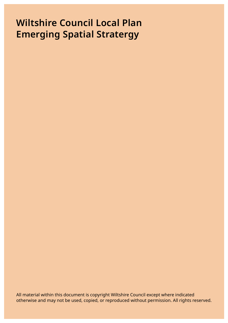# **Wiltshire Council Local Plan Emerging Spatial Stratergy**

All material within this document is copyright Wiltshire Council except where indicated otherwise and may not be used, copied, or reproduced without permission. All rights reserved.